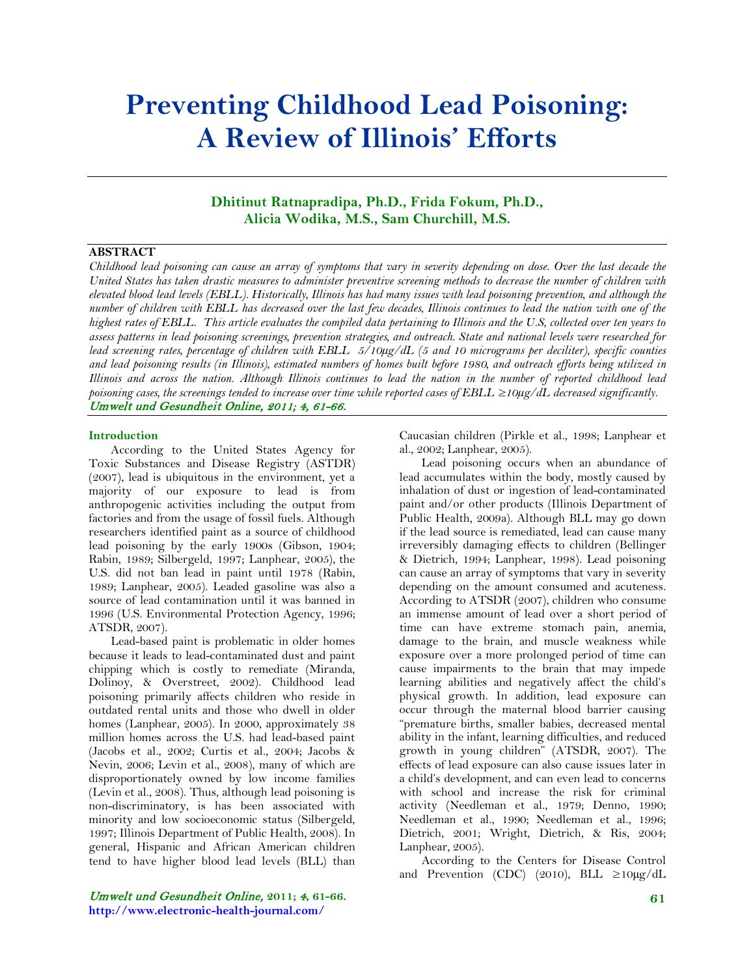# **Preventing Childhood Lead Poisoning: A Review of Illinois' Efforts**

# **Dhitinut Ratnapradipa, Ph.D., Frida Fokum, Ph.D., Alicia Wodika, M.S., Sam Churchill, M.S.**

# **ABSTRACT**

*Childhood lead poisoning can cause an array of symptoms that vary in severity depending on dose. Over the last decade the United States has taken drastic measures to administer preventive screening methods to decrease the number of children with elevated blood lead levels (EBLL). Historically, Illinois has had many issues with lead poisoning prevention, and although the number of children with EBLL has decreased over the last few decades, Illinois continues to lead the nation with one of the highest rates of EBLL. This article evaluates the compiled data pertaining to Illinois and the U.S, collected over ten years to assess patterns in lead poisoning screenings, prevention strategies, and outreach. State and national levels were researched for lead screening rates, percentage of children with EBLL 5/10µg/dL (5 and 10 micrograms per deciliter), specific counties and lead poisoning results (in Illinois), estimated numbers of homes built before 1980, and outreach efforts being utilized in Illinois and across the nation. Although Illinois continues to lead the nation in the number of reported childhood lead poisoning cases, the screenings tended to increase over time while reported cases of EBLL ≥10µg/dL decreased significantly.* Umwelt und Gesundheit Online, 2011; 4, 61-66.

#### **Introduction**

According to the United States Agency for Toxic Substances and Disease Registry (ASTDR) (2007), lead is ubiquitous in the environment, yet a majority of our exposure to lead is from anthropogenic activities including the output from factories and from the usage of fossil fuels. Although researchers identified paint as a source of childhood lead poisoning by the early 1900s (Gibson, 1904; Rabin, 1989; Silbergeld, 1997; Lanphear, 2005), the U.S. did not ban lead in paint until 1978 (Rabin, 1989; Lanphear, 2005). Leaded gasoline was also a source of lead contamination until it was banned in 1996 (U.S. Environmental Protection Agency, 1996; ATSDR, 2007).

Lead-based paint is problematic in older homes because it leads to lead-contaminated dust and paint chipping which is costly to remediate (Miranda, Dolinoy, & Overstreet, 2002). Childhood lead poisoning primarily affects children who reside in outdated rental units and those who dwell in older homes (Lanphear, 2005). In 2000, approximately 38 million homes across the U.S. had lead-based paint (Jacobs et al., 2002; Curtis et al., 2004; Jacobs & Nevin, 2006; Levin et al., 2008), many of which are disproportionately owned by low income families (Levin et al., 2008). Thus, although lead poisoning is non-discriminatory, is has been associated with minority and low socioeconomic status (Silbergeld, 1997; Illinois Department of Public Health, 2008). In general, Hispanic and African American children tend to have higher blood lead levels (BLL) than

Umwelt und Gesundheit Online, **2011;** 4**, 61-66. http://www.electronic-health-journal.com/**

Caucasian children (Pirkle et al., 1998; Lanphear et al., 2002; Lanphear, 2005).

Lead poisoning occurs when an abundance of lead accumulates within the body, mostly caused by inhalation of dust or ingestion of lead-contaminated paint and/or other products (Illinois Department of Public Health, 2009a). Although BLL may go down if the lead source is remediated, lead can cause many irreversibly damaging effects to children (Bellinger & Dietrich, 1994; Lanphear, 1998). Lead poisoning can cause an array of symptoms that vary in severity depending on the amount consumed and acuteness. According to ATSDR (2007), children who consume an immense amount of lead over a short period of time can have extreme stomach pain, anemia, damage to the brain, and muscle weakness while exposure over a more prolonged period of time can cause impairments to the brain that may impede learning abilities and negatively affect the child's physical growth. In addition, lead exposure can occur through the maternal blood barrier causing "premature births, smaller babies, decreased mental ability in the infant, learning difficulties, and reduced growth in young children" (ATSDR, 2007). The effects of lead exposure can also cause issues later in a child's development, and can even lead to concerns with school and increase the risk for criminal activity (Needleman et al., 1979; Denno, 1990; Needleman et al., 1990; Needleman et al., 1996; Dietrich, 2001; Wright, Dietrich, & Ris, 2004; Lanphear, 2005).

According to the Centers for Disease Control and Prevention (CDC) (2010), BLL ≥10µg/dL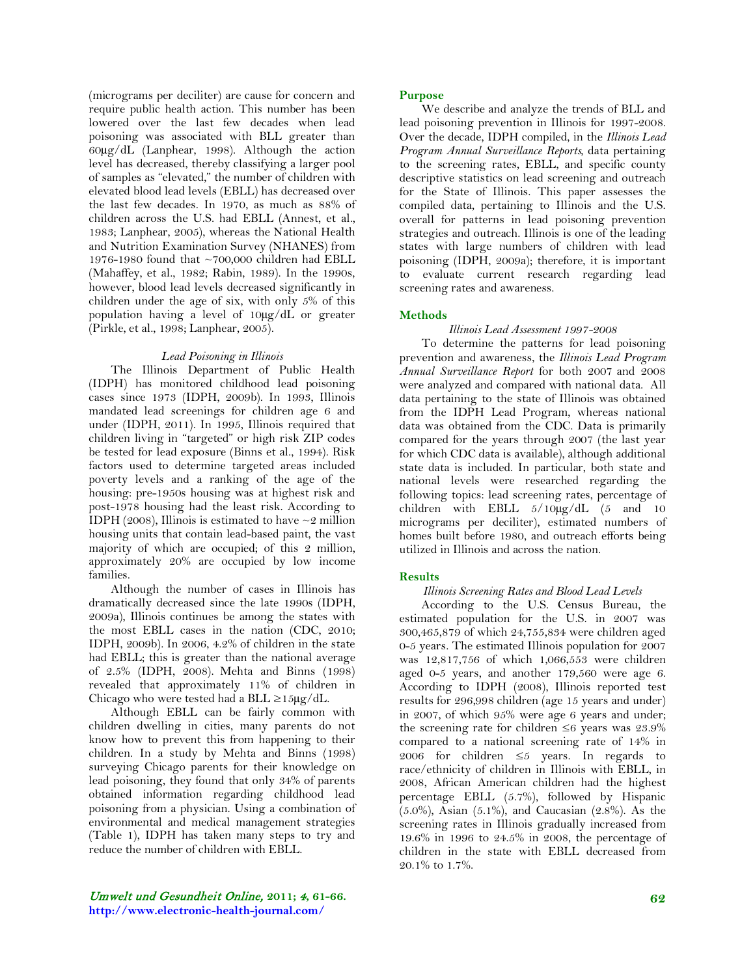(micrograms per deciliter) are cause for concern and require public health action. This number has been lowered over the last few decades when lead poisoning was associated with BLL greater than 60µg/dL (Lanphear, 1998). Although the action level has decreased, thereby classifying a larger pool of samples as "elevated," the number of children with elevated blood lead levels (EBLL) has decreased over the last few decades. In 1970, as much as 88% of children across the U.S. had EBLL (Annest, et al., 1983; Lanphear, 2005), whereas the National Health and Nutrition Examination Survey (NHANES) from 1976-1980 found that  $\sim$ 700,000 children had EBLL (Mahaffey, et al., 1982; Rabin, 1989). In the 1990s, however, blood lead levels decreased significantly in children under the age of six, with only 5% of this population having a level of 10µg/dL or greater (Pirkle, et al., 1998; Lanphear, 2005).

## *Lead Poisoning in Illinois*

The Illinois Department of Public Health (IDPH) has monitored childhood lead poisoning cases since 1973 (IDPH, 2009b). In 1993, Illinois mandated lead screenings for children age 6 and under (IDPH, 2011). In 1995, Illinois required that children living in "targeted" or high risk ZIP codes be tested for lead exposure (Binns et al., 1994). Risk factors used to determine targeted areas included poverty levels and a ranking of the age of the housing: pre-1950s housing was at highest risk and post-1978 housing had the least risk. According to IDPH (2008), Illinois is estimated to have  $\sim$ 2 million housing units that contain lead-based paint, the vast majority of which are occupied; of this 2 million, approximately 20% are occupied by low income families.

Although the number of cases in Illinois has dramatically decreased since the late 1990s (IDPH, 2009a), Illinois continues be among the states with the most EBLL cases in the nation (CDC, 2010; IDPH, 2009b). In 2006, 4.2% of children in the state had EBLL; this is greater than the national average of 2.5% (IDPH, 2008). Mehta and Binns (1998) revealed that approximately 11% of children in Chicago who were tested had a BLL  $\geq 15\mu g/dL$ .

Although EBLL can be fairly common with children dwelling in cities, many parents do not know how to prevent this from happening to their children. In a study by Mehta and Binns (1998) surveying Chicago parents for their knowledge on lead poisoning, they found that only 34% of parents obtained information regarding childhood lead poisoning from a physician. Using a combination of environmental and medical management strategies (Table 1), IDPH has taken many steps to try and reduce the number of children with EBLL.

Umwelt und Gesundheit Online, **2011;** 4**, 61-66. http://www.electronic-health-journal.com/**

#### **Purpose**

We describe and analyze the trends of BLL and lead poisoning prevention in Illinois for 1997-2008. Over the decade, IDPH compiled, in the *Illinois Lead Program Annual Surveillance Reports,* data pertaining to the screening rates, EBLL, and specific county descriptive statistics on lead screening and outreach for the State of Illinois. This paper assesses the compiled data, pertaining to Illinois and the U.S. overall for patterns in lead poisoning prevention strategies and outreach. Illinois is one of the leading states with large numbers of children with lead poisoning (IDPH, 2009a); therefore, it is important to evaluate current research regarding lead screening rates and awareness.

## **Methods**

#### *Illinois Lead Assessment 1997-2008*

To determine the patterns for lead poisoning prevention and awareness, the *Illinois Lead Program Annual Surveillance Report* for both 2007 and 2008 were analyzed and compared with national data. All data pertaining to the state of Illinois was obtained from the IDPH Lead Program, whereas national data was obtained from the CDC. Data is primarily compared for the years through 2007 (the last year for which CDC data is available), although additional state data is included. In particular, both state and national levels were researched regarding the following topics: lead screening rates, percentage of children with EBLL 5/10µg/dL (5 and 10 micrograms per deciliter), estimated numbers of homes built before 1980, and outreach efforts being utilized in Illinois and across the nation.

## **Results**

#### *Illinois Screening Rates and Blood Lead Levels*

According to the U.S. Census Bureau, the estimated population for the U.S. in 2007 was 300,465,879 of which 24,755,834 were children aged 0-5 years. The estimated Illinois population for 2007 was 12,817,756 of which 1,066,553 were children aged 0-5 years, and another 179,560 were age 6. According to IDPH (2008), Illinois reported test results for 296,998 children (age 15 years and under) in 2007, of which 95% were age 6 years and under; the screening rate for children  $\leq 6$  years was 23.9% compared to a national screening rate of 14% in 2006 for children ≤5 years. In regards to race/ethnicity of children in Illinois with EBLL, in 2008, African American children had the highest percentage EBLL (5.7%), followed by Hispanic  $(5.0\%)$ , Asian  $(5.1\%)$ , and Caucasian  $(2.8\%)$ . As the screening rates in Illinois gradually increased from 19.6% in 1996 to 24.5% in 2008, the percentage of children in the state with EBLL decreased from 20.1% to 1.7%.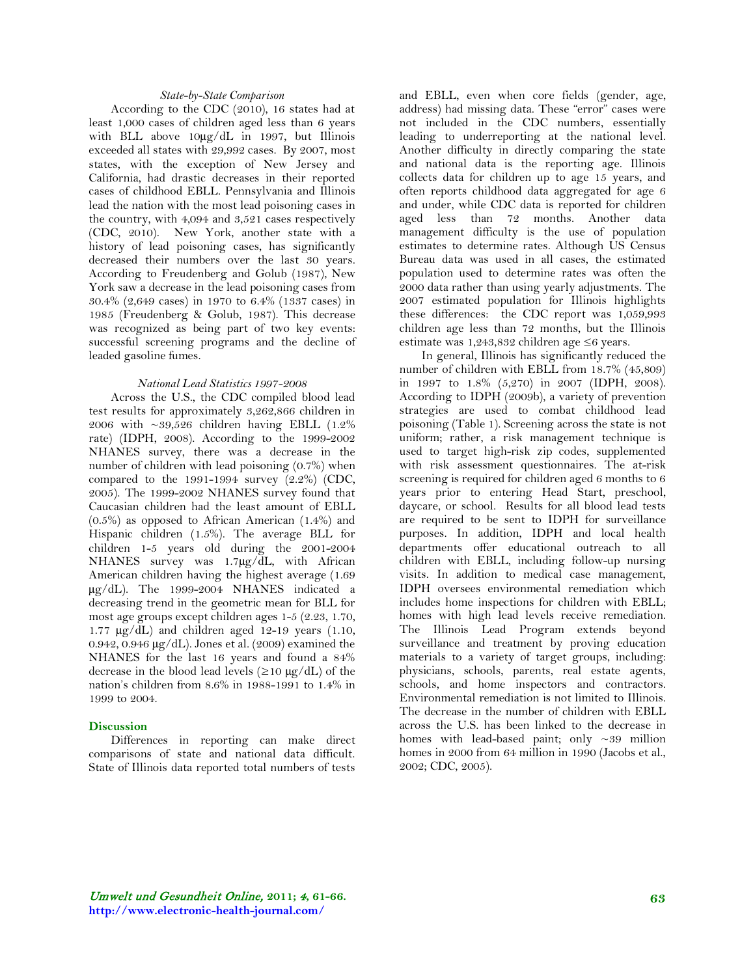#### *State-by-State Comparison*

According to the CDC (2010), 16 states had at least 1,000 cases of children aged less than 6 years with BLL above 10µg/dL in 1997, but Illinois exceeded all states with 29,992 cases. By 2007, most states, with the exception of New Jersey and California, had drastic decreases in their reported cases of childhood EBLL. Pennsylvania and Illinois lead the nation with the most lead poisoning cases in the country, with 4,094 and 3,521 cases respectively (CDC, 2010). New York, another state with a history of lead poisoning cases, has significantly decreased their numbers over the last 30 years. According to Freudenberg and Golub (1987), New York saw a decrease in the lead poisoning cases from 30.4% (2,649 cases) in 1970 to 6.4% (1337 cases) in 1985 (Freudenberg & Golub, 1987). This decrease was recognized as being part of two key events: successful screening programs and the decline of leaded gasoline fumes.

#### *National Lead Statistics 1997-2008*

Across the U.S., the CDC compiled blood lead test results for approximately 3,262,866 children in 2006 with ~39,526 children having EBLL (1.2% rate) (IDPH, 2008). According to the 1999-2002 NHANES survey, there was a decrease in the number of children with lead poisoning (0.7%) when compared to the  $1991-1994$  survey  $(2.2\%)$  (CDC, 2005). The 1999-2002 NHANES survey found that Caucasian children had the least amount of EBLL (0.5%) as opposed to African American (1.4%) and Hispanic children (1.5%). The average BLL for children 1-5 years old during the 2001-2004 NHANES survey was 1.7µg/dL, with African American children having the highest average (1.69 µg/dL). The 1999-2004 NHANES indicated a decreasing trend in the geometric mean for BLL for most age groups except children ages 1-5 (2.23, 1.70, 1.77  $\mu$ g/dL) and children aged 12-19 years (1.10, 0.942, 0.946 µg/dL). Jones et al. (2009) examined the NHANES for the last 16 years and found a 84% decrease in the blood lead levels  $(\geq 10 \mu g/dL)$  of the nation's children from 8.6% in 1988-1991 to 1.4% in 1999 to 2004.

## **Discussion**

Differences in reporting can make direct comparisons of state and national data difficult. State of Illinois data reported total numbers of tests

and EBLL, even when core fields (gender, age, address) had missing data. These "error" cases were not included in the CDC numbers, essentially leading to underreporting at the national level. Another difficulty in directly comparing the state and national data is the reporting age. Illinois collects data for children up to age 15 years, and often reports childhood data aggregated for age 6 and under, while CDC data is reported for children aged less than 72 months. Another data management difficulty is the use of population estimates to determine rates. Although US Census Bureau data was used in all cases, the estimated population used to determine rates was often the 2000 data rather than using yearly adjustments. The 2007 estimated population for Illinois highlights these differences: the CDC report was 1,059,993 children age less than 72 months, but the Illinois estimate was 1,243,832 children age ≤6 years.

In general, Illinois has significantly reduced the number of children with EBLL from 18.7% (45,809) in 1997 to 1.8% (5,270) in 2007 (IDPH, 2008). According to IDPH (2009b), a variety of prevention strategies are used to combat childhood lead poisoning (Table 1). Screening across the state is not uniform; rather, a risk management technique is used to target high-risk zip codes, supplemented with risk assessment questionnaires. The at-risk screening is required for children aged 6 months to 6 years prior to entering Head Start, preschool, daycare, or school. Results for all blood lead tests are required to be sent to IDPH for surveillance purposes. In addition, IDPH and local health departments offer educational outreach to all children with EBLL, including follow-up nursing visits. In addition to medical case management, IDPH oversees environmental remediation which includes home inspections for children with EBLL; homes with high lead levels receive remediation. The Illinois Lead Program extends beyond surveillance and treatment by proving education materials to a variety of target groups, including: physicians, schools, parents, real estate agents, schools, and home inspectors and contractors. Environmental remediation is not limited to Illinois. The decrease in the number of children with EBLL across the U.S. has been linked to the decrease in homes with lead-based paint; only ~39 million homes in 2000 from 64 million in 1990 (Jacobs et al., 2002; CDC, 2005).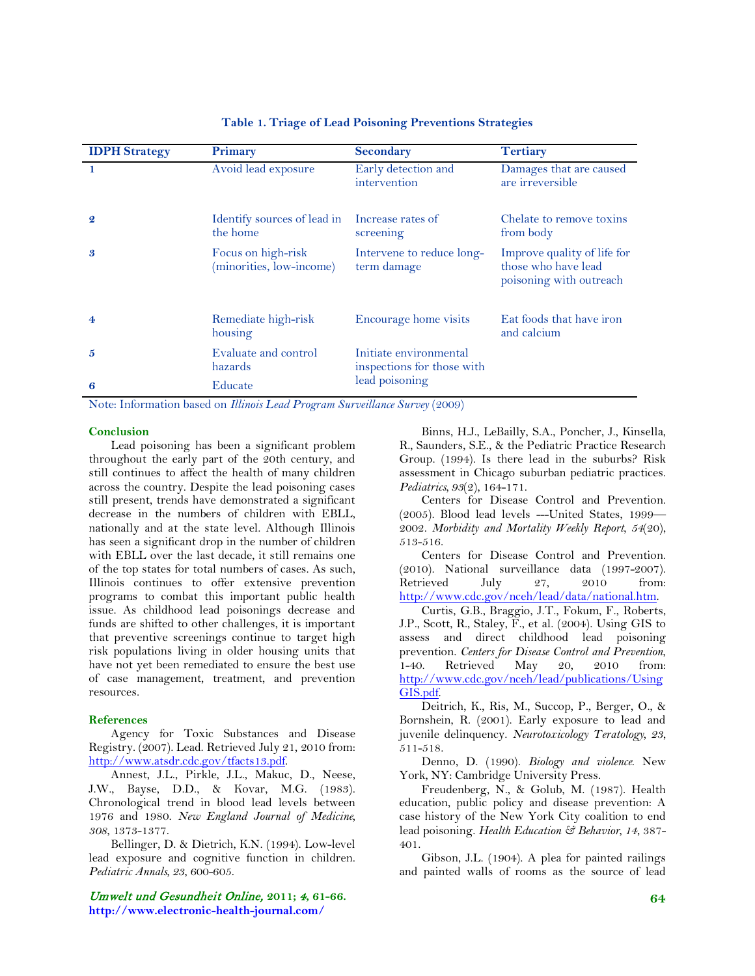| <b>IDPH Strategy</b> | Primary                                        | Secondary                                            | <b>Tertiary</b>                                                               |
|----------------------|------------------------------------------------|------------------------------------------------------|-------------------------------------------------------------------------------|
|                      | Avoid lead exposure                            | Early detection and<br>intervention                  | Damages that are caused<br>are irreversible                                   |
| $\boldsymbol{Q}$     | Identify sources of lead in<br>the home        | Increase rates of<br>screening                       | Chelate to remove toxins<br>from body                                         |
| 3                    | Focus on high-risk<br>(minorities, low-income) | Intervene to reduce long-<br>term damage             | Improve quality of life for<br>those who have lead<br>poisoning with outreach |
| $\overline{4}$       | Remediate high-risk<br>housing                 | Encourage home visits                                | Eat foods that have iron<br>and calcium                                       |
| 5                    | Evaluate and control<br>hazards                | Initiate environmental<br>inspections for those with |                                                                               |
| 6                    | Educate                                        | lead poisoning                                       |                                                                               |

## **Table 1. Triage of Lead Poisoning Preventions Strategies**

Note: Information based on *Illinois Lead Program Surveillance Survey* (2009)

#### **Conclusion**

Lead poisoning has been a significant problem throughout the early part of the 20th century, and still continues to affect the health of many children across the country. Despite the lead poisoning cases still present, trends have demonstrated a significant decrease in the numbers of children with EBLL, nationally and at the state level. Although Illinois has seen a significant drop in the number of children with EBLL over the last decade, it still remains one of the top states for total numbers of cases. As such, Illinois continues to offer extensive prevention programs to combat this important public health issue. As childhood lead poisonings decrease and funds are shifted to other challenges, it is important that preventive screenings continue to target high risk populations living in older housing units that have not yet been remediated to ensure the best use of case management, treatment, and prevention resources.

#### **References**

Agency for Toxic Substances and Disease Registry. (2007). Lead. Retrieved July 21, 2010 from: [http://www.atsdr.cdc.gov/tfacts13.pdf.](http://www.atsdr.cdc.gov/tfacts13.pdf)

Annest, J.L., Pirkle, J.L., Makuc, D., Neese, J.W., Bayse, D.D., & Kovar, M.G. (1983). Chronological trend in blood lead levels between 1976 and 1980. *New England Journal of Medicine, 308*, 1373-1377.

Bellinger, D. & Dietrich, K.N. (1994). Low-level lead exposure and cognitive function in children. *Pediatric Annals, 23*, 600-605.

Umwelt und Gesundheit Online, **2011;** 4**, 61-66. http://www.electronic-health-journal.com/**

Binns, H.J., LeBailly, S.A., Poncher, J., Kinsella, R., Saunders, S.E., & the Pediatric Practice Research Group. (1994). Is there lead in the suburbs? Risk assessment in Chicago suburban pediatric practices. *Pediatrics, 93*(2), 164-171.

Centers for Disease Control and Prevention. (2005). Blood lead levels ---United States, 1999— 2002. *Morbidity and Mortality Weekly Report, 54*(20), 513-516.

Centers for Disease Control and Prevention.  $(2010)$ . National surveillance data  $(1997-2007)$ .<br>Retrieved July 27, 2010 from: Retrieved July 27, 2010 from: [http://www.cdc.gov/nceh/lead/data/national.htm.](http://www.cdc.gov/nceh/lead/data/national.htm)

Curtis, G.B., Braggio, J.T., Fokum, F., Roberts, J.P., Scott, R., Staley, F., et al. (2004). Using GIS to assess and direct childhood lead poisoning prevention. *Centers for Disease Control and Prevention*, 1-40. Retrieved May 20, 2010 from: [http://www.cdc.gov/nceh/lead/publications/Using](http://www.cdc.gov/nceh/lead/publications/UsingGIS.pdf) [GIS.pdf.](http://www.cdc.gov/nceh/lead/publications/UsingGIS.pdf)

Deitrich, K., Ris, M., Succop, P., Berger, O., & Bornshein, R. (2001). Early exposure to lead and juvenile delinquency. *Neurotoxicology Teratology, 23*, 511-518.

Denno, D. (1990). *Biology and violence*. New York, NY: Cambridge University Press.

Freudenberg, N., & Golub, M. (1987). Health education, public policy and disease prevention: A case history of the New York City coalition to end lead poisoning. *Health Education & Behavior, 14*, 387- 401.

Gibson, J.L. (1904). A plea for painted railings and painted walls of rooms as the source of lead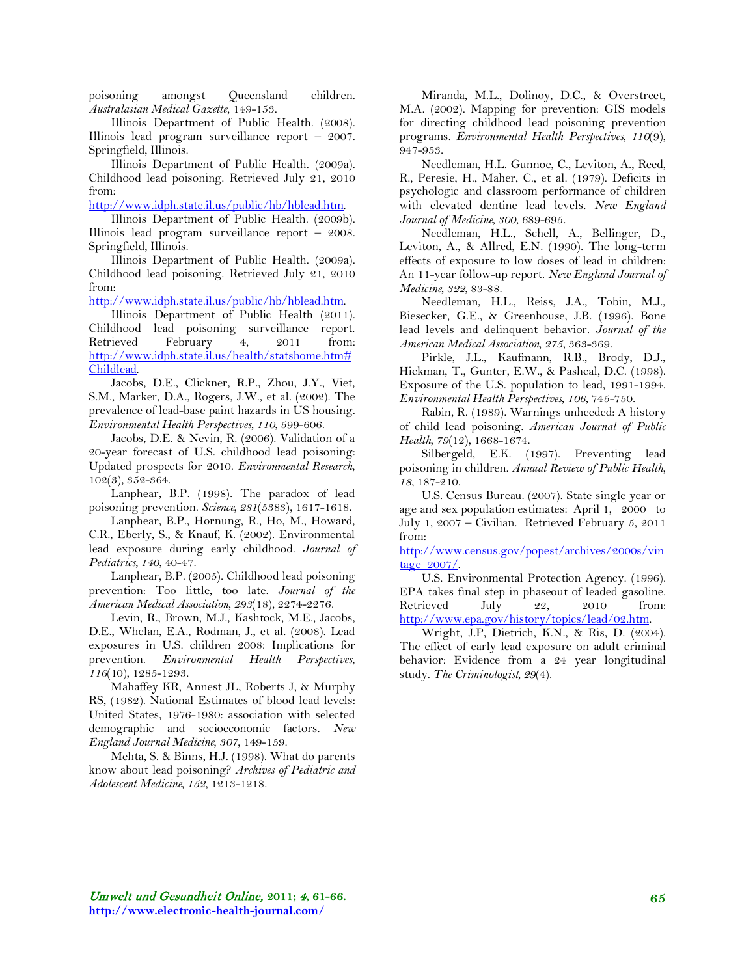poisoning amongst Queensland children. *Australasian Medical Gazette*, 149-153.

Illinois Department of Public Health. (2008). Illinois lead program surveillance report – 2007. Springfield, Illinois.

Illinois Department of Public Health. (2009a). Childhood lead poisoning. Retrieved July 21, 2010 from:

[http://www.idph.state.il.us/public/hb/hblead.htm.](http://www.idph.state.il.us/public/hb/hblead.htm)

Illinois Department of Public Health. (2009b). Illinois lead program surveillance report – 2008. Springfield, Illinois.

Illinois Department of Public Health. (2009a). Childhood lead poisoning. Retrieved July 21, 2010 from:

[http://www.idph.state.il.us/public/hb/hblead.htm.](http://www.idph.state.il.us/public/hb/hblead.htm)

Illinois Department of Public Health (2011). Childhood lead poisoning surveillance report. Retrieved February 4, 2011 from: [http://www.idph.state.il.us/health/statshome.htm#](http://www.idph.state.il.us/health/statshome.htm#Childlead) [Childlead.](http://www.idph.state.il.us/health/statshome.htm#Childlead)

Jacobs, D.E., Clickner, R.P., Zhou, J.Y., Viet, S.M., Marker, D.A., Rogers, J.W., et al. (2002). The prevalence of lead-base paint hazards in US housing. *Environmental Health Perspectives, 110*, 599-606.

Jacobs, D.E. & Nevin, R. (2006). Validation of a 20-year forecast of U.S. childhood lead poisoning: Updated prospects for 2010. *Environmental Research*, 102(3), 352-364.

Lanphear, B.P. (1998). The paradox of lead poisoning prevention. *Science, 281*(5383), 1617-1618.

Lanphear, B.P., Hornung, R., Ho, M., Howard, C.R., Eberly, S., & Knauf, K. (2002). Environmental lead exposure during early childhood. *Journal of Pediatrics, 140*, 40-47.

Lanphear, B.P. (2005). Childhood lead poisoning prevention: Too little, too late. *Journal of the American Medical Association, 293*(18), 2274-2276.

Levin, R., Brown, M.J., Kashtock, M.E., Jacobs, D.E., Whelan, E.A., Rodman, J., et al. (2008). Lead exposures in U.S. children 2008: Implications for prevention. *Environmental Health Perspectives*, *116*(10), 1285-1293.

Mahaffey KR, Annest JL, Roberts J, & Murphy RS, (1982). National Estimates of blood lead levels: United States, 1976-1980: association with selected demographic and socioeconomic factors. *New England Journal Medicine, 307*, 149-159.

Mehta, S. & Binns, H.J. (1998). What do parents know about lead poisoning? *Archives of Pediatric and Adolescent Medicine, 152,* 1213-1218.

Miranda, M.L., Dolinoy, D.C., & Overstreet, M.A. (2002). Mapping for prevention: GIS models for directing childhood lead poisoning prevention programs. *Environmental Health Perspectives, 110*(9), 947-953.

Needleman, H.L. Gunnoe, C., Leviton, A., Reed, R., Peresie, H., Maher, C., et al. (1979). Deficits in psychologic and classroom performance of children with elevated dentine lead levels. *New England Journal of Medicine, 300*, 689-695.

Needleman, H.L., Schell, A., Bellinger, D., Leviton, A., & Allred, E.N. (1990). The long-term effects of exposure to low doses of lead in children: An 11-year follow-up report. *New England Journal of Medicine, 322,* 83-88.

Needleman, H.L., Reiss, J.A., Tobin, M.J., Biesecker, G.E., & Greenhouse, J.B. (1996). Bone lead levels and delinquent behavior. *Journal of the American Medical Association, 275*, 363-369.

Pirkle, J.L., Kaufmann, R.B., Brody, D.J., Hickman, T., Gunter, E.W., & Pashcal, D.C. (1998). Exposure of the U.S. population to lead, 1991-1994. *Environmental Health Perspectives, 106*, 745-750.

Rabin, R. (1989). Warnings unheeded: A history of child lead poisoning. *American Journal of Public Health, 79*(12), 1668-1674.

Silbergeld, E.K. (1997). Preventing lead poisoning in children. *Annual Review of Public Health*, *18,* 187-210.

U.S. Census Bureau. (2007). State single year or age and sex population estimates: April 1, 2000 to July 1, 2007 – Civilian. Retrieved February 5, 2011 from:

[http://www.census.gov/popest/archives/2000s/vin](http://www.census.gov/popest/archives/2000s/vintage_2007/) [tage\\_2007/.](http://www.census.gov/popest/archives/2000s/vintage_2007/)

U.S. Environmental Protection Agency. (1996). EPA takes final step in phaseout of leaded gasoline. Retrieved July 22, 2010 from: [http://www.epa.gov/history/topics/lead/02.htm.](http://www.epa.gov/history/topics/lead/02.htm)

Wright, J.P, Dietrich, K.N., & Ris, D. (2004). The effect of early lead exposure on adult criminal behavior: Evidence from a 24 year longitudinal study. *The Criminologist, 29*(4).